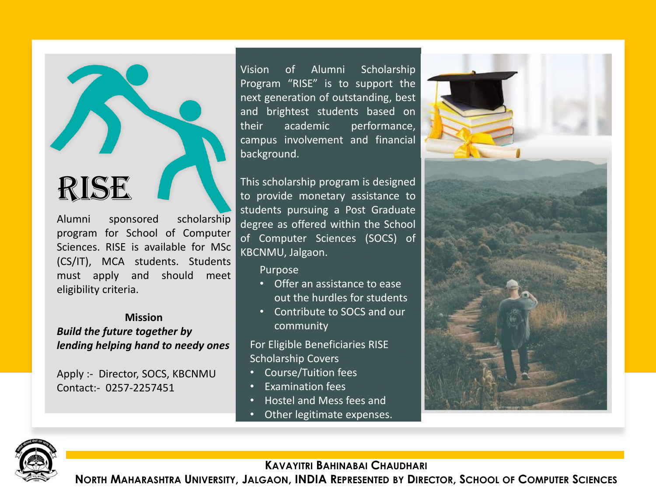# RISE

Alumni sponsored scholarship program for School of Computer Sciences. RISE is available for MSc (CS/IT), MCA students. Students must apply and should meet eligibility criteria.

# **Mission**

*Build the future together by lending helping hand to needy ones*

Apply :- Director, SOCS, KBCNMU Contact:- 0257-2257451

Vision of Alumni Scholarship Program "RISE" is to support the next generation of outstanding, best and brightest students based on their academic performance, campus involvement and financial background.

This scholarship program is designed to provide monetary assistance to students pursuing a Post Graduate degree as offered within the School of Computer Sciences (SOCS) of KBCNMU, Jalgaon.

Purpose

- Offer an assistance to ease out the hurdles for students
- Contribute to SOCS and our community

For Eligible Beneficiaries RISE Scholarship Covers

- Course/Tuition fees
- Examination fees
- Hostel and Mess fees and
- Other legitimate expenses.





**KAVAYITRI BAHINABAI CHAUDHARI**

NORTH MAHARASHTRA UNIVERSITY, JALGAON, INDIA REPRESENTED BY DIRECTOR, SCHOOL OF COMPUTER SCIENCES